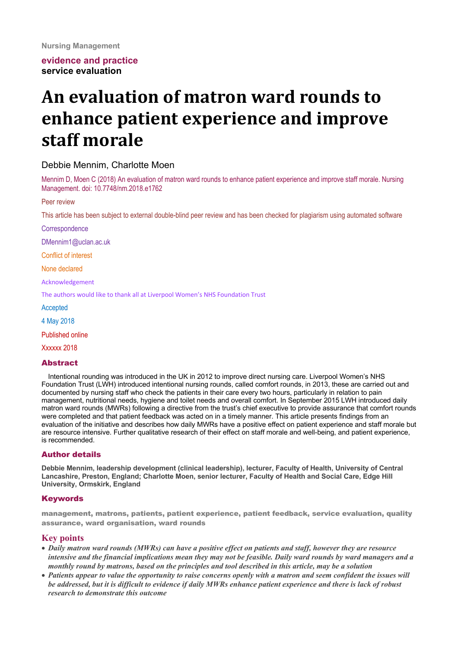# **evidence and practice service evaluation**

# An evaluation of matron ward rounds to **enhance patient experience and improve staff morale**

# Debbie Mennim, Charlotte Moen

Mennim D, Moen C (2018) An evaluation of matron ward rounds to enhance patient experience and improve staff morale. Nursing Management. doi: 10.7748/nm.2018.e1762

#### Peer review

This article has been subject to external double-blind peer review and has been checked for plagiarism using automated software

**Correspondence** 

DMennim1@uclan.ac.uk

Conflict of interest

None declared

Acknowledgement

The authors would like to thank all at Liverpool Women's NHS Foundation Trust

Accepted

4 May 2018

Published online

Xxxxxx 2018

#### Abstract

Intentional rounding was introduced in the UK in 2012 to improve direct nursing care. Liverpool Women's NHS Foundation Trust (LWH) introduced intentional nursing rounds, called comfort rounds, in 2013, these are carried out and documented by nursing staff who check the patients in their care every two hours, particularly in relation to pain management, nutritional needs, hygiene and toilet needs and overall comfort. In September 2015 LWH introduced daily matron ward rounds (MWRs) following a directive from the trust's chief executive to provide assurance that comfort rounds were completed and that patient feedback was acted on in a timely manner. This article presents findings from an evaluation of the initiative and describes how daily MWRs have a positive effect on patient experience and staff morale but are resource intensive. Further qualitative research of their effect on staff morale and well-being, and patient experience, is recommended.

#### Author details

**Debbie Mennim, leadership development (clinical leadership), lecturer, Faculty of Health, University of Central Lancashire, Preston, England; Charlotte Moen, senior lecturer, Faculty of Health and Social Care, Edge Hill University, Ormskirk, England**

#### **Keywords**

management, matrons, patients, patient experience, patient feedback, service evaluation, quality assurance, ward organisation, ward rounds

#### **Key points**

- *Daily matron ward rounds (MWRs) can have a positive effect on patients and staff, however they are resource intensive and the financial implications mean they may not be feasible. Daily ward rounds by ward managers and a monthly round by matrons, based on the principles and tool described in this article, may be a solution*
- *Patients appear to value the opportunity to raise concerns openly with a matron and seem confident the issues will be addressed, but it is difficult to evidence if daily MWRs enhance patient experience and there is lack of robust research to demonstrate this outcome*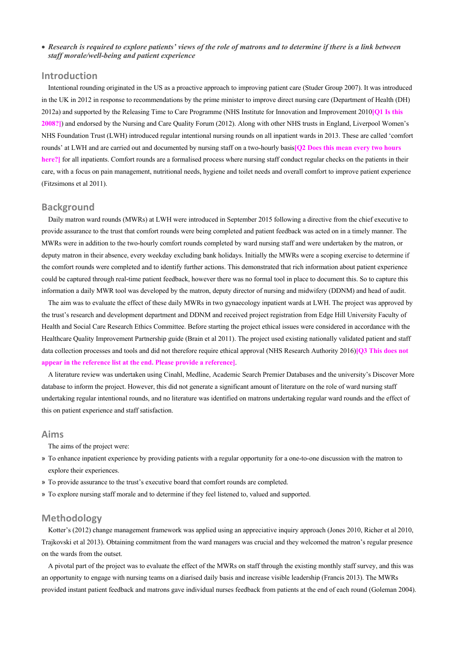#### • *Research is required to explore patients' views of the role of matrons and to determine if there is a link between staff morale/well-being and patient experience*

# **Introduction**

Intentional rounding originated in the US as a proactive approach to improving patient care (Studer Group 2007). It was introduced in the UK in 2012 in response to recommendations by the prime minister to improve direct nursing care (Department of Health (DH) 2012a) and supported by the Releasing Time to Care Programme (NHS Institute for Innovation and Improvement 2010**[Q1 Is this 2008?]**) and endorsed by the Nursing and Care Quality Forum (2012). Along with other NHS trusts in England, Liverpool Women's NHS Foundation Trust (LWH) introduced regular intentional nursing rounds on all inpatient wards in 2013. These are called 'comfort rounds' at LWH and are carried out and documented by nursing staff on a two-hourly basis**[Q2 Does this mean every two hours here?]** for all inpatients. Comfort rounds are a formalised process where nursing staff conduct regular checks on the patients in their care, with a focus on pain management, nutritional needs, hygiene and toilet needs and overall comfort to improve patient experience (Fitzsimons et al 2011).

#### **Background**

Daily matron ward rounds (MWRs) at LWH were introduced in September 2015 following a directive from the chief executive to provide assurance to the trust that comfort rounds were being completed and patient feedback was acted on in a timely manner. The MWRs were in addition to the two-hourly comfort rounds completed by ward nursing staff and were undertaken by the matron, or deputy matron in their absence, every weekday excluding bank holidays. Initially the MWRs were a scoping exercise to determine if the comfort rounds were completed and to identify further actions. This demonstrated that rich information about patient experience could be captured through real-time patient feedback, however there was no formal tool in place to document this. So to capture this information a daily MWR tool was developed by the matron, deputy director of nursing and midwifery (DDNM) and head of audit.

The aim was to evaluate the effect of these daily MWRs in two gynaecology inpatient wards at LWH. The project was approved by the trust's research and development department and DDNM and received project registration from Edge Hill University Faculty of Health and Social Care Research Ethics Committee. Before starting the project ethical issues were considered in accordance with the Healthcare Quality Improvement Partnership guide (Brain et al 2011). The project used existing nationally validated patient and staff data collection processes and tools and did not therefore require ethical approval (NHS Research Authority 2016)**[Q3 This does not appear in the reference list at the end. Please provide a reference]**.

A literature review was undertaken using Cinahl, Medline, Academic Search Premier Databases and the university's Discover More database to inform the project. However, this did not generate a significant amount of literature on the role of ward nursing staff undertaking regular intentional rounds, and no literature was identified on matrons undertaking regular ward rounds and the effect of this on patient experience and staff satisfaction.

## **Aims**

The aims of the project were:

- » To enhance inpatient experience by providing patients with a regular opportunity for a one-to-one discussion with the matron to explore their experiences.
- » To provide assurance to the trust's executive board that comfort rounds are completed.
- » To explore nursing staff morale and to determine if they feel listened to, valued and supported.

#### **Methodology**

Kotter's (2012) change management framework was applied using an appreciative inquiry approach (Jones 2010, Richer et al 2010, Trajkovski et al 2013). Obtaining commitment from the ward managers was crucial and they welcomed the matron's regular presence on the wards from the outset.

A pivotal part of the project was to evaluate the effect of the MWRs on staff through the existing monthly staff survey, and this was an opportunity to engage with nursing teams on a diarised daily basis and increase visible leadership (Francis 2013). The MWRs provided instant patient feedback and matrons gave individual nurses feedback from patients at the end of each round (Goleman 2004).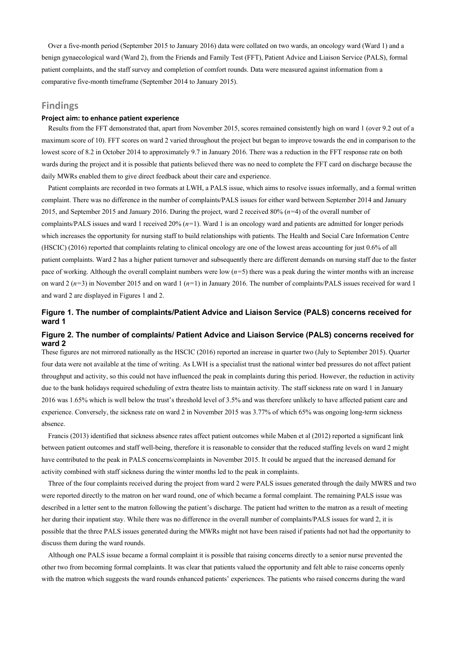Over a five-month period (September 2015 to January 2016) data were collated on two wards, an oncology ward (Ward 1) and a benign gynaecological ward (Ward 2), from the Friends and Family Test (FFT), Patient Advice and Liaison Service (PALS), formal patient complaints, and the staff survey and completion of comfort rounds. Data were measured against information from a comparative five-month timeframe (September 2014 to January 2015).

## **Findings**

#### **Project aim: to enhance patient experience**

Results from the FFT demonstrated that, apart from November 2015, scores remained consistently high on ward 1 (over 9.2 out of a maximum score of 10). FFT scores on ward 2 varied throughout the project but began to improve towards the end in comparison to the lowest score of 8.2 in October 2014 to approximately 9.7 in January 2016. There was a reduction in the FFT response rate on both wards during the project and it is possible that patients believed there was no need to complete the FFT card on discharge because the daily MWRs enabled them to give direct feedback about their care and experience.

Patient complaints are recorded in two formats at LWH, a PALS issue, which aims to resolve issues informally, and a formal written complaint. There was no difference in the number of complaints/PALS issues for either ward between September 2014 and January 2015, and September 2015 and January 2016. During the project, ward 2 received 80% (*n=*4) of the overall number of complaints/PALS issues and ward 1 received 20% (*n=*1). Ward 1 is an oncology ward and patients are admitted for longer periods which increases the opportunity for nursing staff to build relationships with patients. The Health and Social Care Information Centre (HSCIC) (2016) reported that complaints relating to clinical oncology are one of the lowest areas accounting for just 0.6% of all patient complaints. Ward 2 has a higher patient turnover and subsequently there are different demands on nursing staff due to the faster pace of working. Although the overall complaint numbers were low (*n=*5) there was a peak during the winter months with an increase on ward 2 (*n=*3) in November 2015 and on ward 1 (*n=*1) in January 2016. The number of complaints/PALS issues received for ward 1 and ward 2 are displayed in Figures 1 and 2.

# **Figure 1. The number of complaints/Patient Advice and Liaison Service (PALS) concerns received for ward 1**

#### **Figure 2. The number of complaints/ Patient Advice and Liaison Service (PALS) concerns received for ward 2**

These figures are not mirrored nationally as the HSCIC (2016) reported an increase in quarter two (July to September 2015). Quarter four data were not available at the time of writing. As LWH is a specialist trust the national winter bed pressures do not affect patient throughput and activity, so this could not have influenced the peak in complaints during this period. However, the reduction in activity due to the bank holidays required scheduling of extra theatre lists to maintain activity. The staff sickness rate on ward 1 in January 2016 was 1.65% which is well below the trust's threshold level of 3.5% and was therefore unlikely to have affected patient care and experience. Conversely, the sickness rate on ward 2 in November 2015 was 3.77% of which 65% was ongoing long-term sickness absence.

Francis (2013) identified that sickness absence rates affect patient outcomes while Maben et al (2012) reported a significant link between patient outcomes and staff well-being, therefore it is reasonable to consider that the reduced staffing levels on ward 2 might have contributed to the peak in PALS concerns/complaints in November 2015. It could be argued that the increased demand for activity combined with staff sickness during the winter months led to the peak in complaints.

Three of the four complaints received during the project from ward 2 were PALS issues generated through the daily MWRS and two were reported directly to the matron on her ward round, one of which became a formal complaint. The remaining PALS issue was described in a letter sent to the matron following the patient's discharge. The patient had written to the matron as a result of meeting her during their inpatient stay. While there was no difference in the overall number of complaints/PALS issues for ward 2, it is possible that the three PALS issues generated during the MWRs might not have been raised if patients had not had the opportunity to discuss them during the ward rounds.

Although one PALS issue became a formal complaint it is possible that raising concerns directly to a senior nurse prevented the other two from becoming formal complaints. It was clear that patients valued the opportunity and felt able to raise concerns openly with the matron which suggests the ward rounds enhanced patients' experiences. The patients who raised concerns during the ward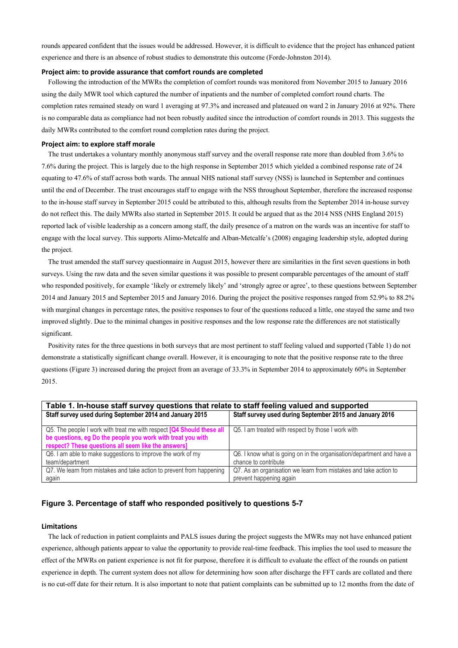rounds appeared confident that the issues would be addressed. However, it is difficult to evidence that the project has enhanced patient experience and there is an absence of robust studies to demonstrate this outcome (Forde-Johnston 2014).

#### **Project aim: to provide assurance that comfort rounds are completed**

Following the introduction of the MWRs the completion of comfort rounds was monitored from November 2015 to January 2016 using the daily MWR tool which captured the number of inpatients and the number of completed comfort round charts. The completion rates remained steady on ward 1 averaging at 97.3% and increased and plateaued on ward 2 in January 2016 at 92%. There is no comparable data as compliance had not been robustly audited since the introduction of comfort rounds in 2013. This suggests the daily MWRs contributed to the comfort round completion rates during the project.

#### **Project aim: to explore staff morale**

The trust undertakes a voluntary monthly anonymous staff survey and the overall response rate more than doubled from 3.6% to 7.6% during the project. This is largely due to the high response in September 2015 which yielded a combined response rate of 24 equating to 47.6% of staff across both wards. The annual NHS national staff survey (NSS) is launched in September and continues until the end of December. The trust encourages staff to engage with the NSS throughout September, therefore the increased response to the in-house staff survey in September 2015 could be attributed to this, although results from the September 2014 in-house survey do not reflect this. The daily MWRs also started in September 2015. It could be argued that as the 2014 NSS (NHS England 2015) reported lack of visible leadership as a concern among staff, the daily presence of a matron on the wards was an incentive for staff to engage with the local survey. This supports Alimo-Metcalfe and Alban-Metcalfe's (2008) engaging leadership style, adopted during the project.

The trust amended the staff survey questionnaire in August 2015, however there are similarities in the first seven questions in both surveys. Using the raw data and the seven similar questions it was possible to present comparable percentages of the amount of staff who responded positively, for example 'likely or extremely likely' and 'strongly agree or agree', to these questions between September 2014 and January 2015 and September 2015 and January 2016. During the project the positive responses ranged from 52.9% to 88.2% with marginal changes in percentage rates, the positive responses to four of the questions reduced a little, one stayed the same and two improved slightly. Due to the minimal changes in positive responses and the low response rate the differences are not statistically significant.

Positivity rates for the three questions in both surveys that are most pertinent to staff feeling valued and supported (Table 1) do not demonstrate a statistically significant change overall. However, it is encouraging to note that the positive response rate to the three questions (Figure 3) increased during the project from an average of 33.3% in September 2014 to approximately 60% in September 2015.

| Table 1. In-house staff survey questions that relate to staff feeling valued and supported |                                                                       |
|--------------------------------------------------------------------------------------------|-----------------------------------------------------------------------|
| Staff survey used during September 2014 and January 2015                                   | Staff survey used during September 2015 and January 2016              |
|                                                                                            |                                                                       |
| Q5. The people I work with treat me with respect [Q4 Should these all                      | Q5. I am treated with respect by those I work with                    |
| be questions, eg Do the people you work with treat you with                                |                                                                       |
| respect? These questions all seem like the answers]                                        |                                                                       |
| Q6. I am able to make suggestions to improve the work of my                                | Q6. I know what is going on in the organisation/department and have a |
| team/department                                                                            | chance to contribute                                                  |
| Q7. We learn from mistakes and take action to prevent from happening                       | Q7. As an organisation we learn from mistakes and take action to      |
| again                                                                                      | prevent happening again                                               |

#### **Figure 3. Percentage of staff who responded positively to questions 5-7**

#### **Limitations**

The lack of reduction in patient complaints and PALS issues during the project suggests the MWRs may not have enhanced patient experience, although patients appear to value the opportunity to provide real-time feedback. This implies the tool used to measure the effect of the MWRs on patient experience is not fit for purpose, therefore it is difficult to evaluate the effect of the rounds on patient experience in depth. The current system does not allow for determining how soon after discharge the FFT cards are collated and there is no cut-off date for their return. It is also important to note that patient complaints can be submitted up to 12 months from the date of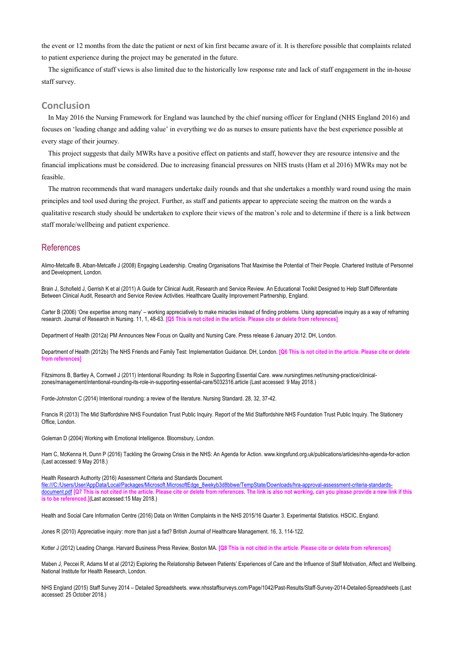the event or 12 months from the date the patient or next of kin first became aware of it. It is therefore possible that complaints related to patient experience during the project may be generated in the future.

The significance of staff views is also limited due to the historically low response rate and lack of staff engagement in the in-house staff survey.

#### **Conclusion**

In May 2016 the Nursing Framework for England was launched by the chief nursing officer for England (NHS England 2016) and focuses on 'leading change and adding value' in everything we do as nurses to ensure patients have the best experience possible at every stage of their journey.

This project suggests that daily MWRs have a positive effect on patients and staff, however they are resource intensive and the financial implications must be considered. Due to increasing financial pressures on NHS trusts (Ham et al 2016) MWRs may not be feasible.

The matron recommends that ward managers undertake daily rounds and that she undertakes a monthly ward round using the main principles and tool used during the project. Further, as staff and patients appear to appreciate seeing the matron on the wards a qualitative research study should be undertaken to explore their views of the matron's role and to determine if there is a link between staff morale/wellbeing and patient experience.

### References

Alimo-Metcalfe B, Alban-Metcalfe J (2008) Engaging Leadership. Creating Organisations That Maximise the Potential of Their People. Chartered Institute of Personnel and Development, London.

Brain J, Schofield J, Gerrish K et al (2011) A Guide for Clinical Audit, Research and Service Review. An Educational Toolkit Designed to Help Staff Differentiate Between Clinical Audit, Research and Service Review Activities. Healthcare Quality Improvement Partnership, England.

Carter B (2006) 'One expertise among many' – working appreciatively to make miracles instead of finding problems. Using appreciative inquiry as a way of reframing research. Journal of Research in Nursing. 11, 1, 48-63. **[Q5 This is not cited in the article. Please cite or delete from references]**

Department of Health (2012a) PM Announces New Focus on Quality and Nursing Care. Press release 6 January 2012. DH, London.

Department of Health (2012b) The NHS Friends and Family Test: Implementation Guidance. DH, London. **[Q6 This is not cited in the article. Please cite or delete from references]**

Fitzsimons B, Bartley A, Cornwell J (2011) Intentional Rounding: Its Role in Supporting Essential Care. www.nursingtimes.net/nursing-practice/clinicalzones/management/intentional-rounding-its-role-in-supporting-essential-care/5032316.article (Last accessed: 9 May 2018.)

Forde-Johnston C (2014) Intentional rounding: a review of the literature. Nursing Standard. 28, 32, 37-42.

Francis R (2013) The Mid Staffordshire NHS Foundation Trust Public Inquiry. Report of the Mid Staffordshire NHS Foundation Trust Public Inquiry. The Stationery Office, London.

Goleman D (2004) Working with Emotional Intelligence. Bloomsbury, London.

Ham C, McKenna H, Dunn P (2016) Tackling the Growing Crisis in the NHS: An Agenda for Action. www.kingsfund.org.uk/publications/articles/nhs-agenda-for-action (Last accessed: 9 May 2018.)

Health Research Authority (2016) Assessment Criteria and Standards Document.

file:///C:/Users/User/AppData/Local/Packages/Microsoft.MicrosoftEdge\_8wekyb3d8bbwe/TempState/Downloads/hra-approval-assessment-criteria-standardsdocument.pdf **[Q7 This is not cited in the article. Please cite or delete from references. The link is also not working, can you please provide a new link if this is to be referenced.]**(Last accessed:15 May 2018.)

Health and Social Care Information Centre (2016) Data on Written Complaints in the NHS 2015/16 Quarter 3. Experimental Statistics. HSCIC, England.

Jones R (2010) Appreciative inquiry: more than just a fad? British Journal of Healthcare Management. 16, 3, 114-122.

Kotter J (2012) Leading Change. Harvard Business Press Review, Boston MA. **[Q8 This is not cited in the article. Please cite or delete from references]**

Maben J, Peccei R, Adams M et al (2012) Exploring the Relationship Between Patients' Experiences of Care and the Influence of Staff Motivation, Affect and Wellbeing. National Institute for Health Research, London.

NHS England (2015) Staff Survey 2014 – Detailed Spreadsheets. www.nhsstaffsurveys.com/Page/1042/Past-Results/Staff-Survey-2014-Detailed-Spreadsheets (Last accessed: 25 October 2018.)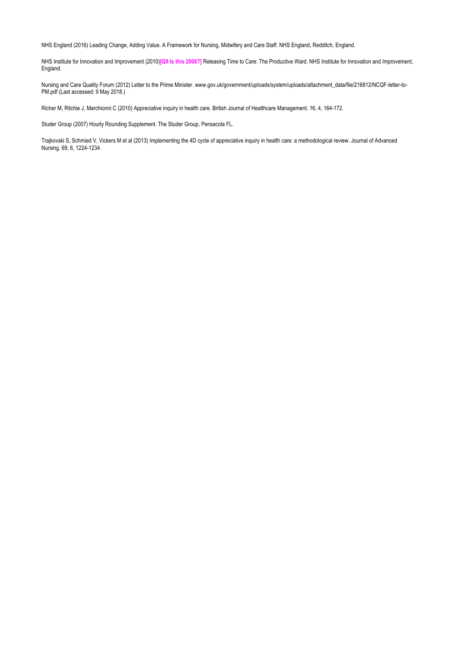NHS England (2016) Leading Change, Adding Value. A Framework for Nursing, Midwifery and Care Staff. NHS England, Redditch, England.

NHS Institute for Innovation and Improvement (2010)**[Q9 Is this 2008?]** Releasing Time to Care: The Productive Ward. NHS Institute for Innovation and Improvement, England.

Nursing and Care Quality Forum (2012) Letter to the Prime Minister. www.gov.uk/government/uploads/system/uploads/attachment\_data/file/216812/NCQF-letter-to-PM.pdf (Last accessed: 9 May 2018.)

Richer M, Ritchie J, Marchionni C (2010) Appreciative inquiry in health care. British Journal of Healthcare Management. 16, 4, 164-172.

Studer Group (2007) Hourly Rounding Supplement. The Studer Group, Pensacola FL.

Trajkovski S, Schmied V, Vickers M et al (2013) Implementing the 4D cycle of appreciative inquiry in health care: a methodological review. Journal of Advanced Nursing. 69, 6, 1224-1234.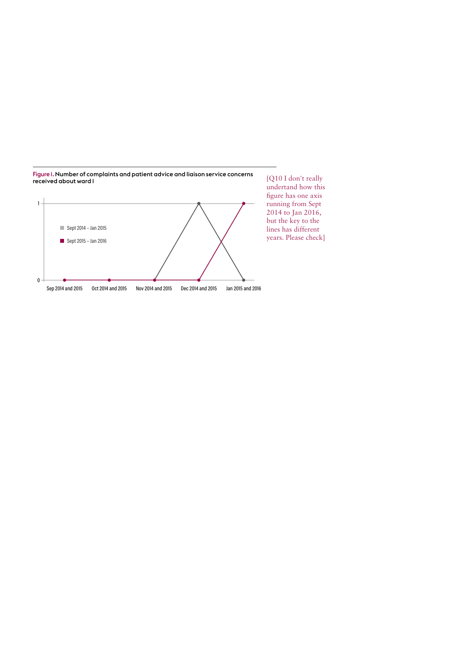

Figure 1. Number of complaints and patient advice and liaison service concerns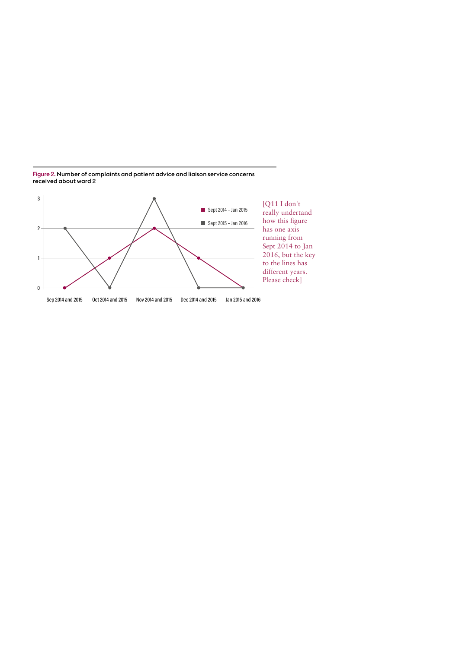

Figure 2. Number of complaints and patient advice and liaison service concerns received about ward 2